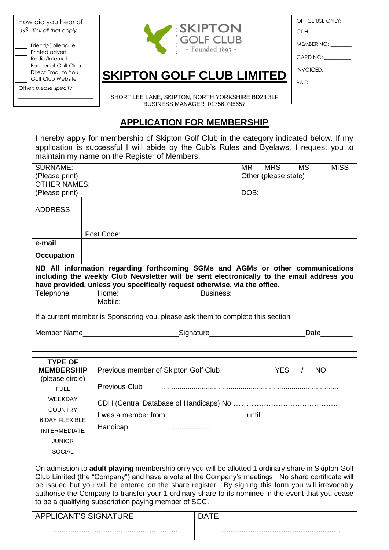| How did you hear of<br>US? Tick all that apply                                                                                                   |  |
|--------------------------------------------------------------------------------------------------------------------------------------------------|--|
| Friend/Colleague<br>Printed advert<br>Radio/Internet<br>Banner at Golf Club<br>Direct Email to You<br>Golf Club Website<br>Other: please specify |  |



| OFFICE USE ONLY:         |
|--------------------------|
| CDH: ______________      |
| $MEMBER NO: \_\_$        |
| CARD NO: _________       |
| INVOICED: THE MANUSCRIPT |
| PAID: ______________     |
|                          |

**SKIPTON GOLF CLUB LIMITED**

SHORT LEE LANE, SKIPTON, NORTH YORKSHIRE BD23 3LF BUSINESS MANAGER 01756 795657

## **APPLICATION FOR MEMBERSHIP**

I hereby apply for membership of Skipton Golf Club in the category indicated below. If my application is successful I will abide by the Cub's Rules and Byelaws. I request you to maintain my name on the Register of Members.

| <b>SURNAME:</b>                                                                                                                                                                                                                                          |                                                                                  | <b>MS</b><br><b>MR</b><br><b>MRS</b><br><b>MISS</b> |  |  |
|----------------------------------------------------------------------------------------------------------------------------------------------------------------------------------------------------------------------------------------------------------|----------------------------------------------------------------------------------|-----------------------------------------------------|--|--|
| (Please print)                                                                                                                                                                                                                                           |                                                                                  | Other (please state)                                |  |  |
| <b>OTHER NAMES:</b>                                                                                                                                                                                                                                      |                                                                                  |                                                     |  |  |
| (Please print)                                                                                                                                                                                                                                           |                                                                                  | DOB:                                                |  |  |
| <b>ADDRESS</b>                                                                                                                                                                                                                                           |                                                                                  |                                                     |  |  |
|                                                                                                                                                                                                                                                          | Post Code:                                                                       |                                                     |  |  |
| e-mail                                                                                                                                                                                                                                                   |                                                                                  |                                                     |  |  |
| <b>Occupation</b>                                                                                                                                                                                                                                        |                                                                                  |                                                     |  |  |
| NB All information regarding forthcoming SGMs and AGMs or other communications<br>including the weekly Club Newsletter will be sent electronically to the email address you<br>have provided, unless you specifically request otherwise, via the office. |                                                                                  |                                                     |  |  |
| Telephone                                                                                                                                                                                                                                                | Home:<br>Mobile:                                                                 | <b>Business:</b>                                    |  |  |
|                                                                                                                                                                                                                                                          |                                                                                  |                                                     |  |  |
|                                                                                                                                                                                                                                                          |                                                                                  |                                                     |  |  |
|                                                                                                                                                                                                                                                          | If a current member is Sponsoring you, please ask them to complete this section  |                                                     |  |  |
|                                                                                                                                                                                                                                                          | Member Name___________________________________Signature_________________________ | Date________                                        |  |  |
|                                                                                                                                                                                                                                                          |                                                                                  |                                                     |  |  |
|                                                                                                                                                                                                                                                          |                                                                                  |                                                     |  |  |
| <b>TYPE OF</b><br><b>MEMBERSHIP</b>                                                                                                                                                                                                                      | Previous member of Skipton Golf Club                                             | YES<br><b>NO</b><br>$\prime$                        |  |  |
| (please circle)<br><b>FULL</b>                                                                                                                                                                                                                           | <b>Previous Club</b>                                                             |                                                     |  |  |
| WEEKDAY                                                                                                                                                                                                                                                  |                                                                                  |                                                     |  |  |
| <b>COUNTRY</b>                                                                                                                                                                                                                                           |                                                                                  |                                                     |  |  |
| <b>6 DAY FLEXIBLE</b>                                                                                                                                                                                                                                    |                                                                                  |                                                     |  |  |
| <b>INTERMEDIATE</b>                                                                                                                                                                                                                                      | Handicap                                                                         |                                                     |  |  |
| <b>JUNIOR</b>                                                                                                                                                                                                                                            |                                                                                  |                                                     |  |  |

On admission to **adult playing** membership only you will be allotted 1 ordinary share in Skipton Golf Club Limited (the "Company") and have a vote at the Company's meetings. No share certificate will be issued but you will be entered on the share register. By signing this form you will irrevocably authorise the Company to transfer your 1 ordinary share to its nominee in the event that you cease to be a qualifying subscription paying member of SGC.